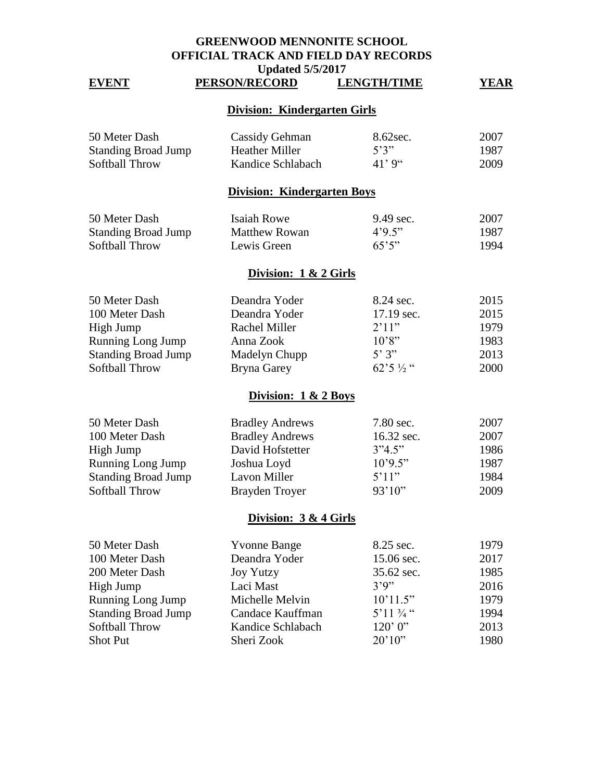# **GREENWOOD MENNONITE SCHOOL OFFICIAL TRACK AND FIELD DAY RECORDS**

#### Updated 5/5/2017<br>**ECORD** LENGTH/TIME **EVENT PERSON/RECORD LENGTH/TIME YEAR**

# **Division: Kindergarten Girls**

| 50 Meter Dash              | Cassidy Gehman    | 8.62sec. | 2007 |
|----------------------------|-------------------|----------|------|
| <b>Standing Broad Jump</b> | Heather Miller    | 5'3''    | 1987 |
| Softball Throw             | Kandice Schlabach | 41' 9"   | 2009 |

### **Division: Kindergarten Boys**

| 50 Meter Dash              | Isaiah Rowe   | $9.49 \text{ sec.}$ | 2007 |
|----------------------------|---------------|---------------------|------|
| <b>Standing Broad Jump</b> | Matthew Rowan | 4.95                | 1987 |
| Softball Throw             | Lewis Green   | 65'5''              | 1994 |

# **Division: 1 & 2 Girls**

| 50 Meter Dash              | Deandra Yoder | 8.24 sec.                | 2015        |
|----------------------------|---------------|--------------------------|-------------|
| 100 Meter Dash             | Deandra Yoder | 17.19 sec.               | 2015        |
| High Jump                  | Rachel Miller | 2'11"                    | 1979        |
| <b>Running Long Jump</b>   | Anna Zook     | 10'8"                    | 1983        |
| <b>Standing Broad Jump</b> | Madelyn Chupp | 5'3''                    | 2013        |
| Softball Throw             | Bryna Garey   | $62^{\circ}5\frac{1}{2}$ | <b>2000</b> |

#### **Division: 1 & 2 Boys**

| 50 Meter Dash<br>7.80 sec.<br><b>Bradley Andrews</b>   | 2007 |
|--------------------------------------------------------|------|
| 100 Meter Dash<br><b>Bradley Andrews</b><br>16.32 sec. | 2007 |
| 3"4.5"<br>David Hofstetter<br>High Jump                | 1986 |
| 10'9.5"<br><b>Running Long Jump</b><br>Joshua Loyd     | 1987 |
| 5'11"<br><b>Standing Broad Jump</b><br>Lavon Miller    | 1984 |
| 93'10''<br>Softball Throw<br>Brayden Troyer            | 2009 |

### **Division: 3 & 4 Girls**

| 50 Meter Dash              | <b>Yvonne Bange</b> | 8.25 sec.            | 1979 |
|----------------------------|---------------------|----------------------|------|
| 100 Meter Dash             | Deandra Yoder       | 15.06 sec.           | 2017 |
| 200 Meter Dash             | <b>Joy Yutzy</b>    | 35.62 sec.           | 1985 |
| High Jump                  | Laci Mast           | 3'9''                | 2016 |
| Running Long Jump          | Michelle Melvin     | 10'11.5"             | 1979 |
| <b>Standing Broad Jump</b> | Candace Kauffman    | 5'11 $\frac{3}{4}$ " | 1994 |
| Softball Throw             | Kandice Schlabach   | 120'0''              | 2013 |
| <b>Shot Put</b>            | Sheri Zook          | 20'10''              | 1980 |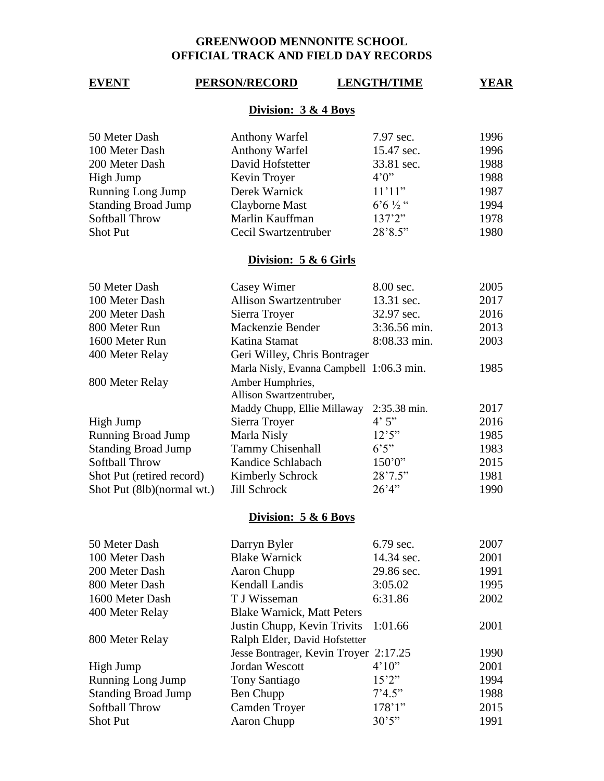# **GREENWOOD MENNONITE SCHOOL OFFICIAL TRACK AND FIELD DAY RECORDS**

# **EVENT PERSON/RECORD LENGTH/TIME YEAR**

# **Division: 3 & 4 Boys**

|                    | 1996      |
|--------------------|-----------|
| 15.47 sec.         | 1996      |
| 33.81 sec.         | 1988      |
| 4'0''              | 1988      |
| 11'11"             | 1987      |
| $6.6\frac{1}{2}$ " | 1994      |
| 137'2''            | 1978      |
| 28'8.5"            | 1980      |
|                    | 7.97 sec. |

### **Division: 5 & 6 Girls**

| 50 Meter Dash              | Casey Wimer                              | 8.00 sec.    | 2005 |
|----------------------------|------------------------------------------|--------------|------|
| 100 Meter Dash             | <b>Allison Swartzentruber</b>            | 13.31 sec.   | 2017 |
| 200 Meter Dash             | Sierra Troyer                            | 32.97 sec.   | 2016 |
| 800 Meter Run              | Mackenzie Bender                         | 3:36.56 min. | 2013 |
| 1600 Meter Run             | Katina Stamat                            | 8:08.33 min. | 2003 |
| 400 Meter Relay            | Geri Willey, Chris Bontrager             |              |      |
|                            | Marla Nisly, Evanna Campbell 1:06.3 min. |              | 1985 |
| 800 Meter Relay            | Amber Humphries,                         |              |      |
|                            | Allison Swartzentruber,                  |              |      |
|                            | Maddy Chupp, Ellie Millaway              | 2:35.38 min. | 2017 |
| High Jump                  | Sierra Troyer                            | 4'5''        | 2016 |
| <b>Running Broad Jump</b>  | Marla Nisly                              | 12'5''       | 1985 |
| <b>Standing Broad Jump</b> | <b>Tammy Chisenhall</b>                  | 6'5''        | 1983 |
| Softball Throw             | Kandice Schlabach                        | 150'0''      | 2015 |
| Shot Put (retired record)  | Kimberly Schrock                         | 28'7.5"      | 1981 |
| Shot Put (8lb)(normal wt.) | Jill Schrock                             | 26'4''       | 1990 |

# **Division: 5 & 6 Boys**

| 50 Meter Dash              | Darryn Byler                          | 6.79 sec.  | 2007 |
|----------------------------|---------------------------------------|------------|------|
| 100 Meter Dash             | <b>Blake Warnick</b>                  | 14.34 sec. | 2001 |
| 200 Meter Dash             | Aaron Chupp                           | 29.86 sec. | 1991 |
| 800 Meter Dash             | Kendall Landis                        | 3:05.02    | 1995 |
| 1600 Meter Dash            | T J Wisseman                          | 6:31.86    | 2002 |
| 400 Meter Relay            | <b>Blake Warnick, Matt Peters</b>     |            |      |
|                            | Justin Chupp, Kevin Trivits 1:01.66   |            | 2001 |
| 800 Meter Relay            | Ralph Elder, David Hofstetter         |            |      |
|                            | Jesse Bontrager, Kevin Troyer 2:17.25 |            | 1990 |
| High Jump                  | Jordan Wescott                        | 4'10''     | 2001 |
| Running Long Jump          | Tony Santiago                         | 15'2''     | 1994 |
| <b>Standing Broad Jump</b> | Ben Chupp                             | 7'4.5''    | 1988 |
| Softball Throw             | <b>Camden Troyer</b>                  | 178'1"     | 2015 |
| <b>Shot Put</b>            | Aaron Chupp                           | 30'5''     | 1991 |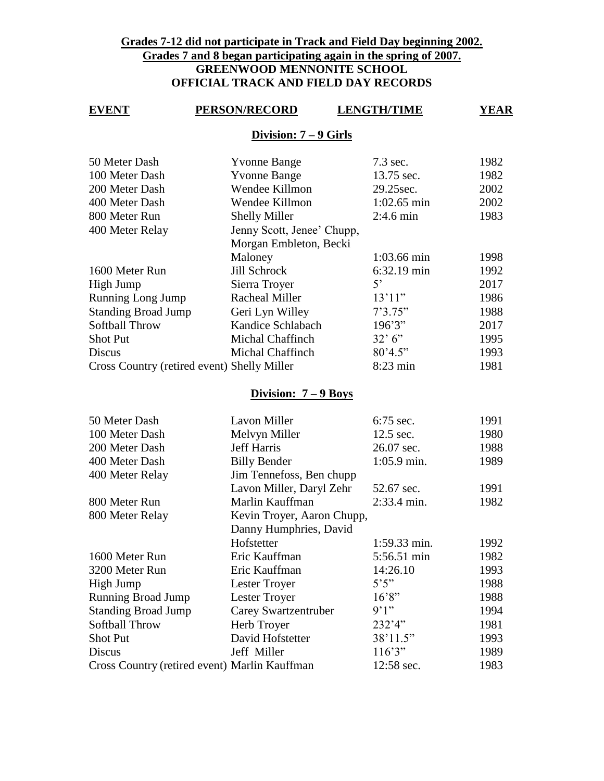# **Grades 7-12 did not participate in Track and Field Day beginning 2002. Grades 7 and 8 began participating again in the spring of 2007. GREENWOOD MENNONITE SCHOOL OFFICIAL TRACK AND FIELD DAY RECORDS**

### **EVENT PERSON/RECORD LENGTH/TIME YEAR**

#### **Division: 7 – 9 Girls**

| 50 Meter Dash                               | <b>Yvonne Bange</b>        | 7.3 sec.            | 1982 |
|---------------------------------------------|----------------------------|---------------------|------|
| 100 Meter Dash                              | <b>Yvonne Bange</b>        | 13.75 sec.          | 1982 |
| 200 Meter Dash                              | Wendee Killmon             | 29.25sec.           | 2002 |
| 400 Meter Dash                              | Wendee Killmon             | $1:02.65$ min       | 2002 |
| 800 Meter Run                               | <b>Shelly Miller</b>       | $2:4.6 \text{ min}$ | 1983 |
| 400 Meter Relay                             | Jenny Scott, Jenee' Chupp, |                     |      |
|                                             | Morgan Embleton, Becki     |                     |      |
|                                             | Maloney                    | 1:03.66 min         | 1998 |
| 1600 Meter Run                              | Jill Schrock               | $6:32.19$ min       | 1992 |
| High Jump                                   | Sierra Troyer              | $5^{\circ}$         | 2017 |
| <b>Running Long Jump</b>                    | <b>Racheal Miller</b>      | 13'11"              | 1986 |
| <b>Standing Broad Jump</b>                  | Geri Lyn Willey            | 7'3.75"             | 1988 |
| Softball Throw                              | Kandice Schlabach          | 196'3''             | 2017 |
| <b>Shot Put</b>                             | <b>Michal Chaffinch</b>    | 32' 6''             | 1995 |
| Discus                                      | <b>Michal Chaffinch</b>    | 80'4.5"             | 1993 |
| Cross Country (retired event) Shelly Miller |                            | $8:23$ min          | 1981 |
|                                             |                            |                     |      |

### **Division: 7 – 9 Boys**

| 50 Meter Dash                                 | Lavon Miller               | 6:75 sec.                   | 1991 |
|-----------------------------------------------|----------------------------|-----------------------------|------|
| 100 Meter Dash                                | Melvyn Miller              | 12.5 sec.                   | 1980 |
| 200 Meter Dash                                | Jeff Harris                | 26.07 sec.                  | 1988 |
| 400 Meter Dash                                | <b>Billy Bender</b>        | $1:05.9 \text{ min.}$       | 1989 |
| 400 Meter Relay                               | Jim Tennefoss, Ben chupp   |                             |      |
|                                               | Lavon Miller, Daryl Zehr   | 52.67 sec.                  | 1991 |
| 800 Meter Run                                 | Marlin Kauffman            | $2:33.4 \text{ min.}$       | 1982 |
| 800 Meter Relay                               | Kevin Troyer, Aaron Chupp, |                             |      |
|                                               | Danny Humphries, David     |                             |      |
|                                               | Hofstetter                 | 1:59.33 min.                | 1992 |
| 1600 Meter Run                                | Eric Kauffman              | 5:56.51 min                 | 1982 |
| 3200 Meter Run                                | Eric Kauffman              | 14:26.10                    | 1993 |
| High Jump                                     | Lester Troyer              | $5^\prime 5^{\prime\prime}$ | 1988 |
| <b>Running Broad Jump</b>                     | Lester Troyer              | 16'8"                       | 1988 |
| <b>Standing Broad Jump</b>                    | Carey Swartzentruber       | 9'1'                        | 1994 |
| Softball Throw                                | Herb Troyer                | 232'4"                      | 1981 |
| <b>Shot Put</b>                               | David Hofstetter           | 38'11.5"                    | 1993 |
| Discus                                        | Jeff Miller                | 116'3''                     | 1989 |
| Cross Country (retired event) Marlin Kauffman |                            | 12:58 sec.                  | 1983 |
|                                               |                            |                             |      |